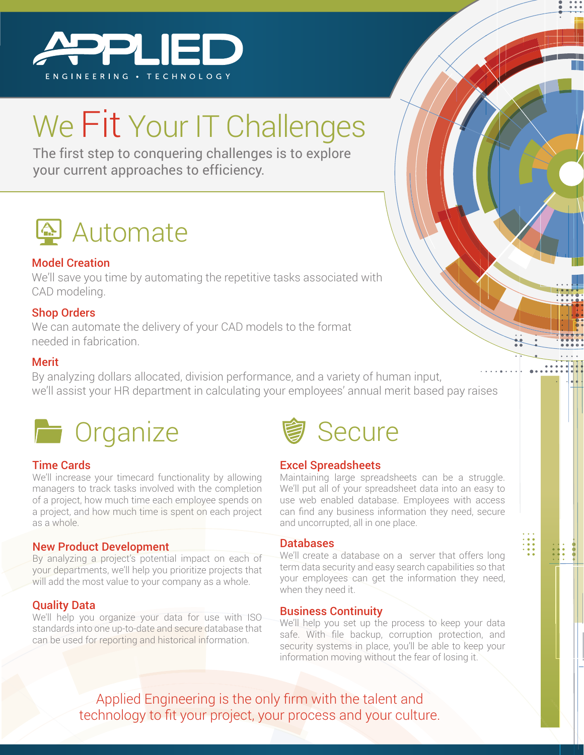

# We Fit Your IT Challenges

The first step to conquering challenges is to explore your current approaches to efficiency. your current approaches to efficiency.



#### Model Creation

We'll save you time by automating the repetitive tasks associated with CAD modeling.

#### Shop Orders

We can automate the delivery of your CAD models to the format needed in fabrication.

#### **Merit**

By analyzing dollars allocated, division performance, and a variety of human input, we'll assist your HR department in calculating your employees' annual merit based pay raises



#### Time Cards

We'll increase your timecard functionality by allowing managers to track tasks involved with the completion of a project, how much time each employee spends on a project, and how much time is spent on each project as a whole.

#### New Product Development

By analyzing a project's potential impact on each of your departments, we'll help you prioritize projects that will add the most value to your company as a whole.

#### Quality Data

We'll help you organize your data for use with ISO standards into one up-to-date and secure database that can be used for reporting and historical information.



#### Excel Spreadsheets

Maintaining large spreadsheets can be a struggle. We'll put all of your spreadsheet data into an easy to use web enabled database. Employees with access can find any business information they need, secure and uncorrupted, all in one place.

#### Databases

We'll create a database on a server that offers long term data security and easy search capabilities so that your employees can get the information they need, when they need it.

#### Business Continuity

We'll help you set up the process to keep your data safe. With file backup, corruption protection, and security systems in place, you'll be able to keep your information moving without the fear of losing it.

Applied Engineering is the only firm with the talent and technology to fit your project, your process and your culture.